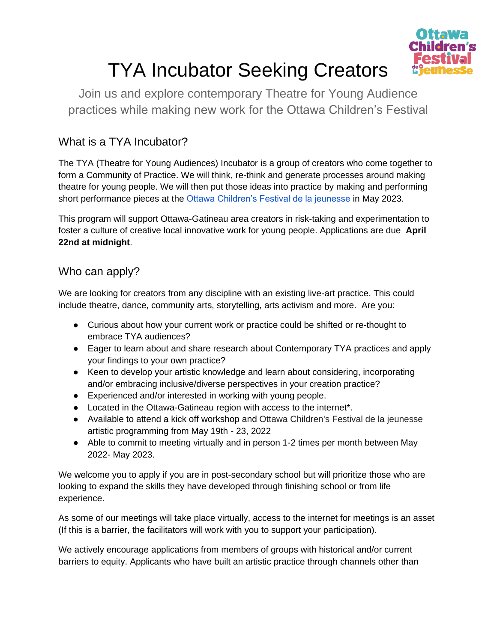

# TYA Incubator Seeking Creators

Join us and explore contemporary Theatre for Young Audience practices while making new work for the Ottawa Children's Festival

## What is a TYA Incubator?

The TYA (Theatre for Young Audiences) Incubator is a group of creators who come together to form a Community of Practice. We will think, re-think and generate processes around making theatre for young people. We will then put those ideas into practice by making and performing short performance pieces at the [Ottawa Children's Festival de la jeunesse](https://ottawachildrensfestival.ca/) in May 2023.

This program will support Ottawa-Gatineau area creators in risk-taking and experimentation to foster a culture of creative local innovative work for young people. Applications are due **April 22nd at midnight**.

#### Who can apply?

We are looking for creators from any discipline with an existing live-art practice. This could include theatre, dance, community arts, storytelling, arts activism and more. Are you:

- Curious about how your current work or practice could be shifted or re-thought to embrace TYA audiences?
- Eager to learn about and share research about Contemporary TYA practices and apply your findings to your own practice?
- Keen to develop your artistic knowledge and learn about considering, incorporating and/or embracing inclusive/diverse perspectives in your creation practice?
- Experienced and/or interested in working with young people.
- Located in the Ottawa-Gatineau region with access to the internet\*.
- Available to attend a kick off workshop and Ottawa Children's Festival de la jeunesse artistic programming from May 19th - 23, 2022
- Able to commit to meeting virtually and in person 1-2 times per month between May 2022- May 2023.

We welcome you to apply if you are in post-secondary school but will prioritize those who are looking to expand the skills they have developed through finishing school or from life experience.

As some of our meetings will take place virtually, access to the internet for meetings is an asset (If this is a barrier, the facilitators will work with you to support your participation).

We actively encourage applications from members of groups with historical and/or current barriers to equity. Applicants who have built an artistic practice through channels other than